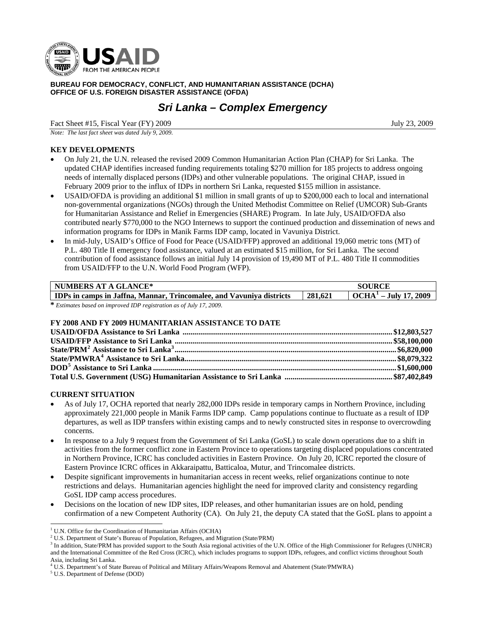

**BUREAU FOR DEMOCRACY, CONFLICT, AND HUMANITARIAN ASSISTANCE (DCHA) OFFICE OF U.S. FOREIGN DISASTER ASSISTANCE (OFDA)** 

# *Sri Lanka – Complex Emergency*

Fact Sheet #15, Fiscal Year (FY) 2009 July 23, 2009

*Note: The last fact sheet was dated July 9, 2009.* 

# **KEY DEVELOPMENTS**

- On July 21, the U.N. released the revised 2009 Common Humanitarian Action Plan (CHAP) for Sri Lanka. The updated CHAP identifies increased funding requirements totaling \$270 million for 185 projects to address ongoing needs of internally displaced persons (IDPs) and other vulnerable populations. The original CHAP, issued in February 2009 prior to the influx of IDPs in northern Sri Lanka, requested \$155 million in assistance.
- USAID/OFDA is providing an additional \$1 million in small grants of up to \$200,000 each to local and international non-governmental organizations (NGOs) through the United Methodist Committee on Relief (UMCOR) Sub-Grants for Humanitarian Assistance and Relief in Emergencies (SHARE) Program. In late July, USAID/OFDA also contributed nearly \$770,000 to the NGO Internews to support the continued production and dissemination of news and information programs for IDPs in Manik Farms IDP camp, located in Vavuniya District.
- In mid-July, USAID's Office of Food for Peace (USAID/FFP) approved an additional 19,060 metric tons (MT) of P.L. 480 Title II emergency food assistance, valued at an estimated \$15 million, for Sri Lanka. The second contribution of food assistance follows an initial July 14 provision of 19,490 MT of P.L. 480 Title II commodities from USAID/FFP to the U.N. World Food Program (WFP).

| <b>NUMBERS AT A GLANCE*</b>                                          | <b>SOURCE</b> |                         |
|----------------------------------------------------------------------|---------------|-------------------------|
| IDPs in camps in Jaffna, Mannar, Trincomalee, and Vavuniya districts | 281,621       | $OCHA1 - July 17, 2009$ |
| * Estimates based on improved IDP registration as of July 17, 2009.  |               |                         |

## **FY 2008 AND FY 2009 HUMANITARIAN ASSISTANCE TO DATE**

## **CURRENT SITUATION**

- As of July 17, OCHA reported that nearly 282,000 IDPs reside in temporary camps in Northern Province, including approximately 221,000 people in Manik Farms IDP camp. Camp populations continue to fluctuate as a result of IDP departures, as well as IDP transfers within existing camps and to newly constructed sites in response to overcrowding concerns.
- In response to a July 9 request from the Government of Sri Lanka (GoSL) to scale down operations due to a shift in activities from the former conflict zone in Eastern Province to operations targeting displaced populations concentrated in Northern Province, ICRC has concluded activities in Eastern Province. On July 20, ICRC reported the closure of Eastern Province ICRC offices in Akkaraipattu, Batticaloa, Mutur, and Trincomalee districts.
- Despite significant improvements in humanitarian access in recent weeks, relief organizations continue to note restrictions and delays. Humanitarian agencies highlight the need for improved clarity and consistency regarding GoSL IDP camp access procedures.
- Decisions on the location of new IDP sites, IDP releases, and other humanitarian issues are on hold, pending confirmation of a new Competent Authority (CA). On July 21, the deputy CA stated that the GoSL plans to appoint a

-

<span id="page-0-0"></span><sup>&</sup>lt;sup>1</sup> U.N. Office for the Coordination of Humanitarian Affairs (OCHA)

<sup>&</sup>lt;sup>2</sup> U.S. Department of State's Bureau of Population, Refugees, and Migration (State/PRM)

<span id="page-0-2"></span><span id="page-0-1"></span><sup>&</sup>lt;sup>3</sup> In addition, State/PRM has provided support to the South Asia regional activities of the U.N. Office of the High Commissioner for Refugees (UNHCR) and the International Committee of the Red Cross (ICRC), which includes programs to support IDPs, refugees, and conflict victims throughout South Asia, including Sri Lanka.

<span id="page-0-3"></span><sup>&</sup>lt;sup>4</sup> U.S. Department's of State Bureau of Political and Military Affairs/Weapons Removal and Abatement (State/PMWRA)

<span id="page-0-4"></span>U.S. Department of Defense (DOD)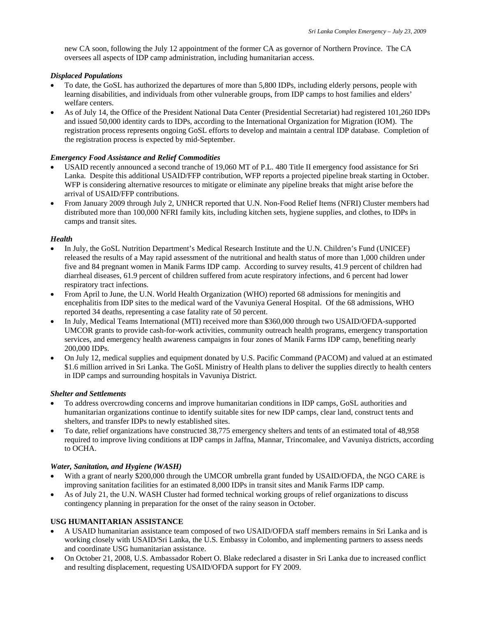new CA soon, following the July 12 appointment of the former CA as governor of Northern Province. The CA oversees all aspects of IDP camp administration, including humanitarian access.

#### *Displaced Populations*

- To date, the GoSL has authorized the departures of more than 5,800 IDPs, including elderly persons, people with learning disabilities, and individuals from other vulnerable groups, from IDP camps to host families and elders' welfare centers.
- As of July 14, the Office of the President National Data Center (Presidential Secretariat) had registered 101,260 IDPs and issued 50,000 identity cards to IDPs, according to the International Organization for Migration (IOM). The registration process represents ongoing GoSL efforts to develop and maintain a central IDP database. Completion of the registration process is expected by mid-September.

## *Emergency Food Assistance and Relief Commodities*

- USAID recently announced a second tranche of 19,060 MT of P.L. 480 Title II emergency food assistance for Sri Lanka. Despite this additional USAID/FFP contribution, WFP reports a projected pipeline break starting in October. WFP is considering alternative resources to mitigate or eliminate any pipeline breaks that might arise before the arrival of USAID/FFP contributions.
- From January 2009 through July 2, UNHCR reported that U.N. Non-Food Relief Items (NFRI) Cluster members had distributed more than 100,000 NFRI family kits, including kitchen sets, hygiene supplies, and clothes, to IDPs in camps and transit sites.

## *Health*

- In July, the GoSL Nutrition Department's Medical Research Institute and the U.N. Children's Fund (UNICEF) released the results of a May rapid assessment of the nutritional and health status of more than 1,000 children under five and 84 pregnant women in Manik Farms IDP camp. According to survey results, 41.9 percent of children had diarrheal diseases, 61.9 percent of children suffered from acute respiratory infections, and 6 percent had lower respiratory tract infections.
- From April to June, the U.N. World Health Organization (WHO) reported 68 admissions for meningitis and encephalitis from IDP sites to the medical ward of the Vavuniya General Hospital. Of the 68 admissions, WHO reported 34 deaths, representing a case fatality rate of 50 percent.
- In July, Medical Teams International (MTI) received more than \$360,000 through two USAID/OFDA-supported UMCOR grants to provide cash-for-work activities, community outreach health programs, emergency transportation services, and emergency health awareness campaigns in four zones of Manik Farms IDP camp, benefiting nearly 200,000 IDPs.
- On July 12, medical supplies and equipment donated by U.S. Pacific Command (PACOM) and valued at an estimated \$1.6 million arrived in Sri Lanka. The GoSL Ministry of Health plans to deliver the supplies directly to health centers in IDP camps and surrounding hospitals in Vavuniya District.

#### *Shelter and Settlements*

- To address overcrowding concerns and improve humanitarian conditions in IDP camps, GoSL authorities and humanitarian organizations continue to identify suitable sites for new IDP camps, clear land, construct tents and shelters, and transfer IDPs to newly established sites.
- To date, relief organizations have constructed 38,775 emergency shelters and tents of an estimated total of 48,958 required to improve living conditions at IDP camps in Jaffna, Mannar, Trincomalee, and Vavuniya districts, according to OCHA.

## *Water, Sanitation, and Hygiene (WASH)*

- With a grant of nearly \$200,000 through the UMCOR umbrella grant funded by USAID/OFDA, the NGO CARE is improving sanitation facilities for an estimated 8,000 IDPs in transit sites and Manik Farms IDP camp.
- As of July 21, the U.N. WASH Cluster had formed technical working groups of relief organizations to discuss contingency planning in preparation for the onset of the rainy season in October.

## **USG HUMANITARIAN ASSISTANCE**

- A USAID humanitarian assistance team composed of two USAID/OFDA staff members remains in Sri Lanka and is working closely with USAID/Sri Lanka, the U.S. Embassy in Colombo, and implementing partners to assess needs and coordinate USG humanitarian assistance.
- On October 21, 2008, U.S. Ambassador Robert O. Blake redeclared a disaster in Sri Lanka due to increased conflict and resulting displacement, requesting USAID/OFDA support for FY 2009.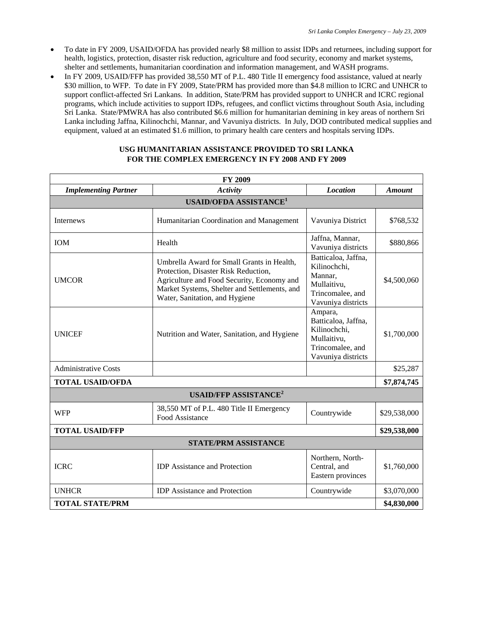- To date in FY 2009, USAID/OFDA has provided nearly \$8 million to assist IDPs and returnees, including support for health, logistics, protection, disaster risk reduction, agriculture and food security, economy and market systems, shelter and settlements, humanitarian coordination and information management, and WASH programs.
- In FY 2009, USAID/FFP has provided 38,550 MT of P.L. 480 Title II emergency food assistance, valued at nearly \$30 million, to WFP. To date in FY 2009, State/PRM has provided more than \$4.8 million to ICRC and UNHCR to support conflict-affected Sri Lankans. In addition, State/PRM has provided support to UNHCR and ICRC regional programs, which include activities to support IDPs, refugees, and conflict victims throughout South Asia, including Sri Lanka. State/PMWRA has also contributed \$6.6 million for humanitarian demining in key areas of northern Sri Lanka including Jaffna, Kilinochchi, Mannar, and Vavuniya districts. In July, DOD contributed medical supplies and equipment, valued at an estimated \$1.6 million, to primary health care centers and hospitals serving IDPs.

| USG HUMANITARIAN ASSISTANCE PROVIDED TO SRI LANKA       |
|---------------------------------------------------------|
| <b>FOR THE COMPLEX EMERGENCY IN FY 2008 AND FY 2009</b> |

| <b>FY 2009</b>                          |                                                                                                                                                                                                                    |                                                                                                         |               |  |
|-----------------------------------------|--------------------------------------------------------------------------------------------------------------------------------------------------------------------------------------------------------------------|---------------------------------------------------------------------------------------------------------|---------------|--|
| <b>Implementing Partner</b>             | <b>Activity</b>                                                                                                                                                                                                    | <b>Location</b>                                                                                         | <b>Amount</b> |  |
|                                         | <b>USAID/OFDA ASSISTANCE<sup>1</sup></b>                                                                                                                                                                           |                                                                                                         |               |  |
| Internews                               | Humanitarian Coordination and Management                                                                                                                                                                           | Vavuniya District                                                                                       | \$768,532     |  |
| IOM                                     | Health                                                                                                                                                                                                             | Jaffna, Mannar,<br>Vavuniya districts                                                                   | \$880,866     |  |
| <b>UMCOR</b>                            | Umbrella Award for Small Grants in Health,<br>Protection, Disaster Risk Reduction,<br>Agriculture and Food Security, Economy and<br>Market Systems, Shelter and Settlements, and<br>Water, Sanitation, and Hygiene | Batticaloa, Jaffna,<br>Kilinochchi,<br>Mannar,<br>Mullaitivu,<br>Trincomalee, and<br>Vavuniya districts | \$4,500,060   |  |
| <b>UNICEF</b>                           | Nutrition and Water, Sanitation, and Hygiene                                                                                                                                                                       | Ampara,<br>Batticaloa, Jaffna,<br>Kilinochchi,<br>Mullaitivu,<br>Trincomalee, and<br>Vavuniya districts | \$1,700,000   |  |
| <b>Administrative Costs</b>             |                                                                                                                                                                                                                    |                                                                                                         | \$25,287      |  |
| <b>TOTAL USAID/OFDA</b>                 |                                                                                                                                                                                                                    |                                                                                                         | \$7,874,745   |  |
| <b>USAID/FFP ASSISTANCE<sup>2</sup></b> |                                                                                                                                                                                                                    |                                                                                                         |               |  |
| <b>WFP</b>                              | 38,550 MT of P.L. 480 Title II Emergency<br>Food Assistance                                                                                                                                                        | Countrywide                                                                                             | \$29,538,000  |  |
| <b>TOTAL USAID/FFP</b>                  |                                                                                                                                                                                                                    |                                                                                                         | \$29,538,000  |  |
| <b>STATE/PRM ASSISTANCE</b>             |                                                                                                                                                                                                                    |                                                                                                         |               |  |
| <b>ICRC</b>                             | <b>IDP</b> Assistance and Protection                                                                                                                                                                               | Northern, North-<br>Central, and<br>Eastern provinces                                                   | \$1,760,000   |  |
| <b>UNHCR</b>                            | <b>IDP</b> Assistance and Protection                                                                                                                                                                               | Countrywide                                                                                             | \$3,070,000   |  |
| <b>TOTAL STATE/PRM</b>                  |                                                                                                                                                                                                                    | \$4,830,000                                                                                             |               |  |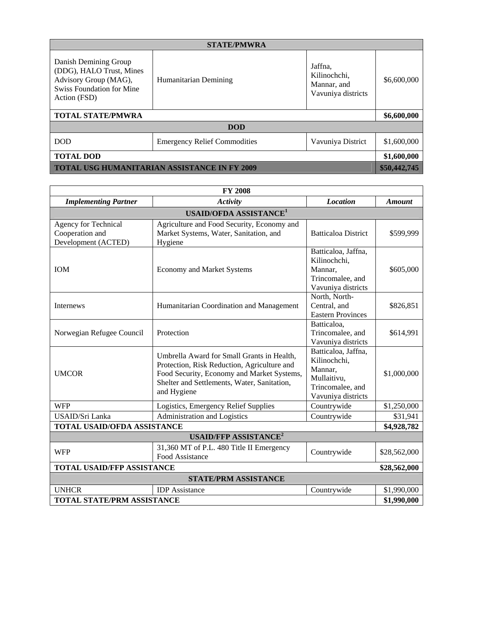| <b>STATE/PMWRA</b>                                                                                                             |                                     |                                                              |              |
|--------------------------------------------------------------------------------------------------------------------------------|-------------------------------------|--------------------------------------------------------------|--------------|
| Danish Demining Group<br>(DDG), HALO Trust, Mines<br>Advisory Group (MAG),<br><b>Swiss Foundation for Mine</b><br>Action (FSD) | Humanitarian Demining               | Jaffna,<br>Kilinochchi,<br>Mannar, and<br>Vavuniya districts | \$6,600,000  |
| <b>TOTAL STATE/PMWRA</b>                                                                                                       |                                     |                                                              | \$6,600,000  |
| <b>DOD</b>                                                                                                                     |                                     |                                                              |              |
| <b>DOD</b>                                                                                                                     | <b>Emergency Relief Commodities</b> | Vavuniya District                                            | \$1,600,000  |
| <b>TOTAL DOD</b>                                                                                                               |                                     |                                                              | \$1,600,000  |
| <b>TOTAL USG HUMANITARIAN ASSISTANCE IN FY 2009</b>                                                                            |                                     |                                                              | \$50,442,745 |

| <b>FY 2008</b>                                                 |                                                                                                                                                                                                       |                                                                                                         |               |
|----------------------------------------------------------------|-------------------------------------------------------------------------------------------------------------------------------------------------------------------------------------------------------|---------------------------------------------------------------------------------------------------------|---------------|
| <b>Implementing Partner</b>                                    | Activity                                                                                                                                                                                              | <b>Location</b>                                                                                         | <b>Amount</b> |
| <b>USAID/OFDA ASSISTANCE<sup>1</sup></b>                       |                                                                                                                                                                                                       |                                                                                                         |               |
| Agency for Technical<br>Cooperation and<br>Development (ACTED) | Agriculture and Food Security, Economy and<br>Market Systems, Water, Sanitation, and<br>Hygiene                                                                                                       | <b>Batticaloa District</b>                                                                              | \$599,999     |
| <b>IOM</b>                                                     | <b>Economy and Market Systems</b>                                                                                                                                                                     | Batticaloa, Jaffna,<br>Kilinochchi,<br>Mannar,<br>Trincomalee, and<br>Vavuniya districts                | \$605,000     |
| Internews                                                      | Humanitarian Coordination and Management                                                                                                                                                              | North, North-<br>Central, and<br><b>Eastern Provinces</b>                                               | \$826,851     |
| Norwegian Refugee Council                                      | Protection                                                                                                                                                                                            | Batticaloa,<br>Trincomalee, and<br>Vavuniya districts                                                   | \$614,991     |
| <b>UMCOR</b>                                                   | Umbrella Award for Small Grants in Health,<br>Protection, Risk Reduction, Agriculture and<br>Food Security, Economy and Market Systems,<br>Shelter and Settlements, Water, Sanitation,<br>and Hygiene | Batticaloa, Jaffna,<br>Kilinochchi,<br>Mannar,<br>Mullaitivu,<br>Trincomalee, and<br>Vavuniya districts | \$1,000,000   |
| <b>WFP</b>                                                     | Logistics, Emergency Relief Supplies                                                                                                                                                                  | Countrywide                                                                                             | \$1,250,000   |
| USAID/Sri Lanka                                                | Administration and Logistics                                                                                                                                                                          | Countrywide                                                                                             | \$31,941      |
| <b>TOTAL USAID/OFDA ASSISTANCE</b>                             |                                                                                                                                                                                                       |                                                                                                         | \$4,928,782   |
| <b>USAID/FFP ASSISTANCE<sup>2</sup></b>                        |                                                                                                                                                                                                       |                                                                                                         |               |
| <b>WFP</b>                                                     | 31,360 MT of P.L. 480 Title II Emergency<br>Food Assistance                                                                                                                                           | Countrywide                                                                                             | \$28,562,000  |
| <b>TOTAL USAID/FFP ASSISTANCE</b>                              |                                                                                                                                                                                                       |                                                                                                         | \$28,562,000  |
| <b>STATE/PRM ASSISTANCE</b>                                    |                                                                                                                                                                                                       |                                                                                                         |               |
| <b>UNHCR</b>                                                   | <b>IDP</b> Assistance                                                                                                                                                                                 | Countrywide                                                                                             | \$1,990,000   |
| <b>TOTAL STATE/PRM ASSISTANCE</b>                              |                                                                                                                                                                                                       |                                                                                                         | \$1,990,000   |